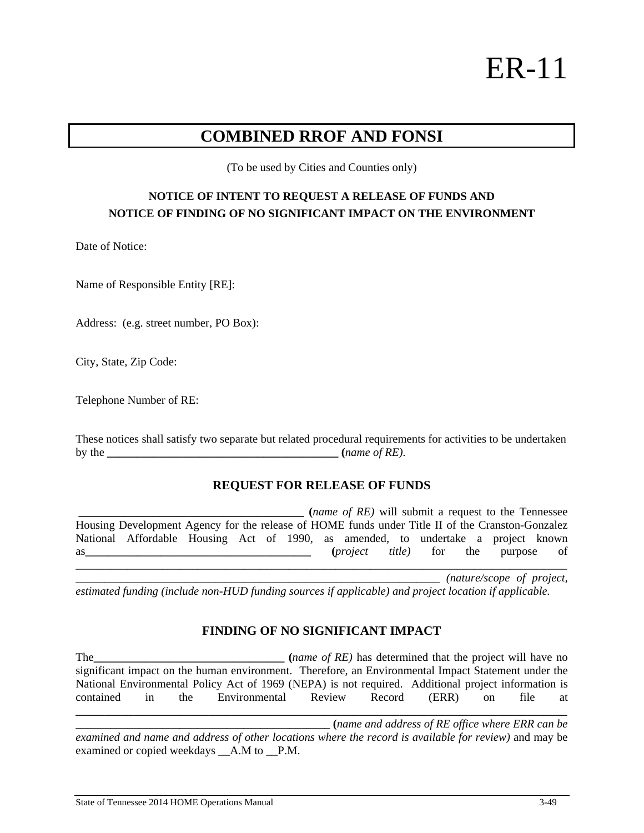# ER-11

# **COMBINED RROF AND FONSI**

(To be used by Cities and Counties only)

## **NOTICE OF INTENT TO REQUEST A RELEASE OF FUNDS AND NOTICE OF FINDING OF NO SIGNIFICANT IMPACT ON THE ENVIRONMENT**

Date of Notice:

Name of Responsible Entity [RE]:

Address: (e.g. street number, PO Box):

City, State, Zip Code:

Telephone Number of RE:

These notices shall satisfy two separate but related procedural requirements for activities to be undertaken by the *g* (*name of RE*).

#### **REQUEST FOR RELEASE OF FUNDS**

**\_\_\_\_\_\_\_\_\_\_\_\_\_\_\_\_\_\_\_\_\_\_\_\_\_\_\_\_\_\_\_\_\_\_\_\_\_\_\_ (***name of RE)* will submit a request to the Tennessee Housing Development Agency for the release of HOME funds under Title II of the Cranston-Gonzalez National Affordable Housing Act of 1990, as amended, to undertake a project known as and the contract of the purpose of the purpose of  $(project$  *title*) for the purpose of

*\_\_\_\_\_\_\_\_\_\_\_\_\_\_\_\_\_\_\_\_\_\_\_\_\_\_\_\_\_\_\_\_\_\_\_\_\_\_\_\_\_\_\_\_\_\_\_\_\_\_\_\_\_\_\_\_\_\_\_\_\_\_\_ (nature/scope of project, estimated funding (include non-HUD funding sources if applicable) and project location if applicable.* 

### **FINDING OF NO SIGNIFICANT IMPACT**

The the contract that the project will have no contract that the project will have no significant impact on the human environment. Therefore, an Environmental Impact Statement under the National Environmental Policy Act of 1969 (NEPA) is not required. Additional project information is contained in the Environmental Review Record (ERR) on file at **\_\_\_\_\_\_\_\_\_\_\_\_\_\_\_\_\_\_\_\_\_\_\_\_\_\_\_\_\_\_\_\_\_\_\_\_\_\_\_\_\_\_\_\_\_\_\_\_\_\_\_\_\_\_\_\_\_\_\_\_\_\_\_\_\_\_\_\_\_\_\_\_\_\_\_\_\_\_\_\_\_\_\_\_\_**

**\_\_\_\_\_\_\_\_\_\_\_\_\_\_\_\_\_\_\_\_\_\_\_\_\_\_\_\_\_\_\_\_\_\_\_\_\_\_\_\_\_\_\_\_ (***name and address of RE office where ERR can be examined and name and address of other locations where the record is available for review)* and may be examined or copied weekdays \_\_A.M to \_\_P.M.